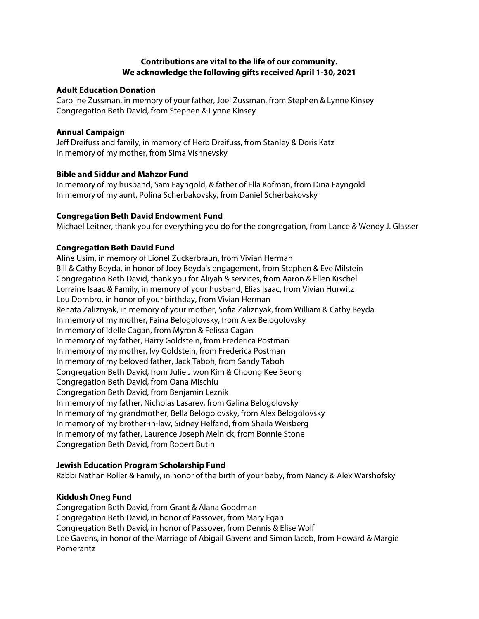# **Contributions are vital to the life of our community. We acknowledge the following gifts received April 1-30, 2021**

#### **Adult Education Donation**

Caroline Zussman, in memory of your father, Joel Zussman, from Stephen & Lynne Kinsey Congregation Beth David, from Stephen & Lynne Kinsey

### **Annual Campaign**

Jeff Dreifuss and family, in memory of Herb Dreifuss, from Stanley & Doris Katz In memory of my mother, from Sima Vishnevsky

# **Bible and Siddur and Mahzor Fund**

In memory of my husband, Sam Fayngold, & father of Ella Kofman, from Dina Fayngold In memory of my aunt, Polina Scherbakovsky, from Daniel Scherbakovsky

### **Congregation Beth David Endowment Fund**

Michael Leitner, thank you for everything you do for the congregation, from Lance & Wendy J. Glasser

### **Congregation Beth David Fund**

Aline Usim, in memory of Lionel Zuckerbraun, from Vivian Herman Bill & Cathy Beyda, in honor of Joey Beyda's engagement, from Stephen & Eve Milstein Congregation Beth David, thank you for Aliyah & services, from Aaron & Ellen Kischel Lorraine Isaac & Family, in memory of your husband, Elias Isaac, from Vivian Hurwitz Lou Dombro, in honor of your birthday, from Vivian Herman Renata Zaliznyak, in memory of your mother, Sofia Zaliznyak, from William & Cathy Beyda In memory of my mother, Faina Belogolovsky, from Alex Belogolovsky In memory of Idelle Cagan, from Myron & Felissa Cagan In memory of my father, Harry Goldstein, from Frederica Postman In memory of my mother, Ivy Goldstein, from Frederica Postman In memory of my beloved father, Jack Taboh, from Sandy Taboh Congregation Beth David, from Julie Jiwon Kim & Choong Kee Seong Congregation Beth David, from Oana Mischiu Congregation Beth David, from Benjamin Leznik In memory of my father, Nicholas Lasarev, from Galina Belogolovsky In memory of my grandmother, Bella Belogolovsky, from Alex Belogolovsky In memory of my brother-in-law, Sidney Helfand, from Sheila Weisberg In memory of my father, Laurence Joseph Melnick, from Bonnie Stone Congregation Beth David, from Robert Butin

#### **Jewish Education Program Scholarship Fund**

Rabbi Nathan Roller & Family, in honor of the birth of your baby, from Nancy & Alex Warshofsky

# **Kiddush Oneg Fund**

Congregation Beth David, from Grant & Alana Goodman Congregation Beth David, in honor of Passover, from Mary Egan Congregation Beth David, in honor of Passover, from Dennis & Elise Wolf Lee Gavens, in honor of the Marriage of Abigail Gavens and Simon Iacob, from Howard & Margie Pomerantz